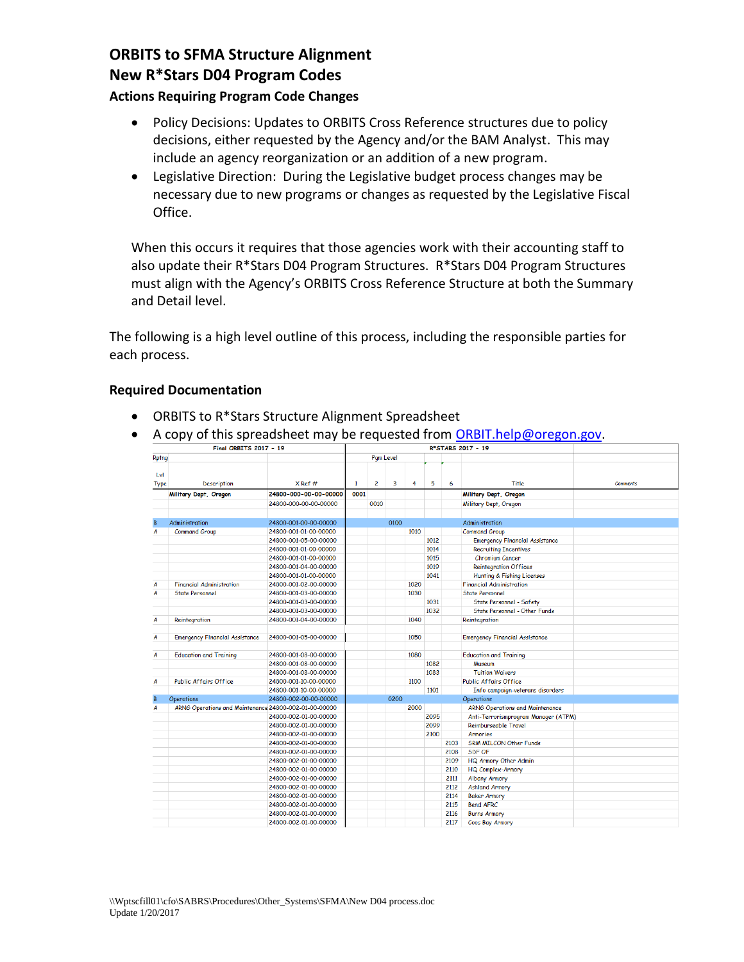# **ORBITS to SFMA Structure Alignment New R\*Stars D04 Program Codes**

### **Actions Requiring Program Code Changes**

- Policy Decisions: Updates to ORBITS Cross Reference structures due to policy decisions, either requested by the Agency and/or the BAM Analyst. This may include an agency reorganization or an addition of a new program.
- Legislative Direction: During the Legislative budget process changes may be necessary due to new programs or changes as requested by the Legislative Fiscal Office.

When this occurs it requires that those agencies work with their accounting staff to also update their R\*Stars D04 Program Structures. R\*Stars D04 Program Structures must align with the Agency's ORBITS Cross Reference Structure at both the Summary and Detail level.

The following is a high level outline of this process, including the responsible parties for each process.

#### **Required Documentation**

- ORBITS to R\*Stars Structure Alignment Spreadsheet
- A copy of this spreadsheet may be requested from **ORBIT.help@oregon.gov.**

| <b>Rptng</b>                          |                                                                                                             | Pam Level                                                                                                                                                                                                   |                |      |      |              |                              |                                       |                                                                                                                                                                                                                                                                                                                                                                     |
|---------------------------------------|-------------------------------------------------------------------------------------------------------------|-------------------------------------------------------------------------------------------------------------------------------------------------------------------------------------------------------------|----------------|------|------|--------------|------------------------------|---------------------------------------|---------------------------------------------------------------------------------------------------------------------------------------------------------------------------------------------------------------------------------------------------------------------------------------------------------------------------------------------------------------------|
| <b>Description</b>                    | $X$ Ref #                                                                                                   | 1                                                                                                                                                                                                           | $\overline{c}$ | 3    | 4    | 5            | 6                            | Title                                 | <b>Comments</b>                                                                                                                                                                                                                                                                                                                                                     |
|                                       | 24800-000-00-00-00000                                                                                       | 0001                                                                                                                                                                                                        |                |      |      |              |                              | Military Dept, Oregon                 |                                                                                                                                                                                                                                                                                                                                                                     |
|                                       | 24800-000-00-00-00000                                                                                       |                                                                                                                                                                                                             | 0010           |      |      |              |                              | Military Dept, Oregon                 |                                                                                                                                                                                                                                                                                                                                                                     |
|                                       |                                                                                                             |                                                                                                                                                                                                             |                |      |      |              |                              |                                       |                                                                                                                                                                                                                                                                                                                                                                     |
| Administration                        | 24800-001-00-00-00000                                                                                       |                                                                                                                                                                                                             |                | 0100 |      |              |                              | <b>Administration</b>                 |                                                                                                                                                                                                                                                                                                                                                                     |
| <b>Command Group</b>                  | 24800-001-01-00-00000                                                                                       |                                                                                                                                                                                                             |                |      | 1010 |              |                              | <b>Command Group</b>                  |                                                                                                                                                                                                                                                                                                                                                                     |
|                                       | 24800-001-05-00-00000                                                                                       |                                                                                                                                                                                                             |                |      |      | 1012         |                              | <b>Emergency Financial Assistance</b> |                                                                                                                                                                                                                                                                                                                                                                     |
|                                       | 24800-001-01-00-00000                                                                                       |                                                                                                                                                                                                             |                |      |      | 1014         |                              | <b>Recruiting Incentives</b>          |                                                                                                                                                                                                                                                                                                                                                                     |
|                                       | 24800-001-01-00-00000                                                                                       |                                                                                                                                                                                                             |                |      |      | 1015         |                              | <b>Chromium Cancer</b>                |                                                                                                                                                                                                                                                                                                                                                                     |
|                                       | 24800-001-04-00-00000                                                                                       |                                                                                                                                                                                                             |                |      |      | 1019         |                              | <b>Reintegration Offices</b>          |                                                                                                                                                                                                                                                                                                                                                                     |
|                                       | 24800-001-01-00-00000                                                                                       |                                                                                                                                                                                                             |                |      |      | 1041         |                              |                                       |                                                                                                                                                                                                                                                                                                                                                                     |
| <b>Financial Administration</b>       | 24800-001-02-00-00000                                                                                       |                                                                                                                                                                                                             |                |      | 1020 |              |                              | <b>Financial Administration</b>       |                                                                                                                                                                                                                                                                                                                                                                     |
| <b>State Personnel</b>                | 24800-001-03-00-00000                                                                                       |                                                                                                                                                                                                             |                |      | 1030 |              |                              | <b>State Personnel</b>                |                                                                                                                                                                                                                                                                                                                                                                     |
|                                       | 24800-001-03-00-00000                                                                                       |                                                                                                                                                                                                             |                |      |      | 1031         |                              |                                       |                                                                                                                                                                                                                                                                                                                                                                     |
|                                       | 24800-001-03-00-00000                                                                                       |                                                                                                                                                                                                             |                |      |      |              |                              |                                       |                                                                                                                                                                                                                                                                                                                                                                     |
| Reintegration                         | 24800-001-04-00-00000                                                                                       |                                                                                                                                                                                                             |                |      | 1040 |              |                              |                                       |                                                                                                                                                                                                                                                                                                                                                                     |
| <b>Emergency Financial Assistance</b> | 24800-001-05-00-00000                                                                                       |                                                                                                                                                                                                             |                |      | 1050 |              |                              | <b>Emergency Financial Assistance</b> |                                                                                                                                                                                                                                                                                                                                                                     |
|                                       |                                                                                                             |                                                                                                                                                                                                             |                |      |      |              |                              |                                       |                                                                                                                                                                                                                                                                                                                                                                     |
|                                       |                                                                                                             |                                                                                                                                                                                                             |                |      |      |              |                              |                                       |                                                                                                                                                                                                                                                                                                                                                                     |
|                                       |                                                                                                             |                                                                                                                                                                                                             |                |      |      |              |                              |                                       |                                                                                                                                                                                                                                                                                                                                                                     |
|                                       |                                                                                                             |                                                                                                                                                                                                             |                |      |      |              |                              |                                       |                                                                                                                                                                                                                                                                                                                                                                     |
|                                       |                                                                                                             |                                                                                                                                                                                                             |                |      |      |              |                              |                                       |                                                                                                                                                                                                                                                                                                                                                                     |
|                                       |                                                                                                             |                                                                                                                                                                                                             |                |      |      |              |                              |                                       |                                                                                                                                                                                                                                                                                                                                                                     |
|                                       |                                                                                                             |                                                                                                                                                                                                             |                |      | 2000 |              |                              |                                       |                                                                                                                                                                                                                                                                                                                                                                     |
|                                       | 24800-002-01-00-00000                                                                                       |                                                                                                                                                                                                             |                |      |      | 2095         |                              |                                       |                                                                                                                                                                                                                                                                                                                                                                     |
|                                       | 24800-002-01-00-00000                                                                                       |                                                                                                                                                                                                             |                |      |      | 2099         |                              | Reimburseable Travel                  |                                                                                                                                                                                                                                                                                                                                                                     |
|                                       | 24800-002-01-00-00000                                                                                       |                                                                                                                                                                                                             |                |      |      | 2100         |                              | <b>Armories</b>                       |                                                                                                                                                                                                                                                                                                                                                                     |
|                                       | 24800-002-01-00-00000                                                                                       |                                                                                                                                                                                                             |                |      |      |              | 2103                         | <b>SRM MILCON Other Funds</b>         |                                                                                                                                                                                                                                                                                                                                                                     |
|                                       | 24800-002-01-00-00000                                                                                       |                                                                                                                                                                                                             |                |      |      |              | 2108                         | SDF OF                                |                                                                                                                                                                                                                                                                                                                                                                     |
|                                       | 24800-002-01-00-00000                                                                                       |                                                                                                                                                                                                             |                |      |      |              | 2109                         | HQ Armory Other Admin                 |                                                                                                                                                                                                                                                                                                                                                                     |
|                                       | 24800-002-01-00-00000                                                                                       |                                                                                                                                                                                                             |                |      |      |              | 2110                         | <b>HQ Complex-Armory</b>              |                                                                                                                                                                                                                                                                                                                                                                     |
|                                       | 24800-002-01-00-00000                                                                                       |                                                                                                                                                                                                             |                |      |      |              | 2111                         | <b>Albany Armory</b>                  |                                                                                                                                                                                                                                                                                                                                                                     |
|                                       | 24800-002-01-00-00000                                                                                       |                                                                                                                                                                                                             |                |      |      |              | 2112                         | <b>Ashland Armory</b>                 |                                                                                                                                                                                                                                                                                                                                                                     |
|                                       | 24800-002-01-00-00000                                                                                       |                                                                                                                                                                                                             |                |      |      |              | 2114                         | <b>Baker Armory</b>                   |                                                                                                                                                                                                                                                                                                                                                                     |
|                                       | 24800-002-01-00-00000                                                                                       |                                                                                                                                                                                                             |                |      |      |              | 2115                         | <b>Bend AFRC</b>                      |                                                                                                                                                                                                                                                                                                                                                                     |
|                                       | 24800-002-01-00-00000                                                                                       |                                                                                                                                                                                                             |                |      |      |              | 2116                         | <b>Burns Armory</b>                   |                                                                                                                                                                                                                                                                                                                                                                     |
|                                       | 24800-002-01-00-00000                                                                                       |                                                                                                                                                                                                             |                |      |      |              | 2117                         | <b>Coos Bay Armory</b>                |                                                                                                                                                                                                                                                                                                                                                                     |
|                                       | Military Dept, Oregon<br><b>Education and Training</b><br><b>Public Affairs Office</b><br><b>Operations</b> | 24800-001-08-00-00000<br>24800-001-08-00-00000<br>24800-001-08-00-00000<br>24800-001-10-00-00000<br>24800-001-10-00-00000<br>24800-002-00-00-00000<br>ARNG Operations and Maintenance 24800-002-01-00-00000 |                |      | 0200 | 1080<br>1100 | 1032<br>1082<br>1083<br>1101 |                                       | <b>Hunting &amp; Fishing Licenses</b><br>State Personnel - Safety<br>State Personnel - Other Funds<br>Reintegration<br><b>Education and Training</b><br>Museum<br><b>Tuition Waivers</b><br><b>Public Affairs Office</b><br>Info campaign-veterans disorders<br><b>Operations</b><br><b>ARNG Operations and Maintenance</b><br>Anti-Terrorismprogram Manager (ATPM) |